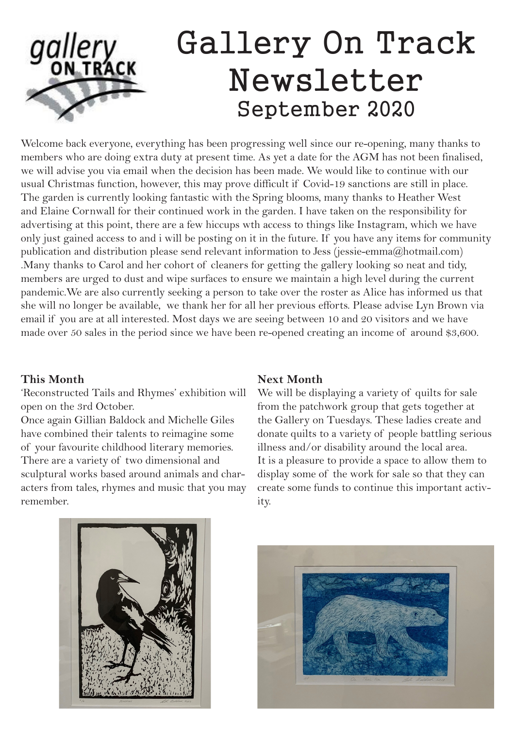# **gallery**<br>ON TRACK Gallery On Track Newsletter September 2020

Welcome back everyone, everything has been progressing well since our re-opening, many thanks to members who are doing extra duty at present time. As yet a date for the AGM has not been finalised, we will advise you via email when the decision has been made. We would like to continue with our usual Christmas function, however, this may prove difficult if Covid-19 sanctions are still in place. The garden is currently looking fantastic with the Spring blooms, many thanks to Heather West and Elaine Cornwall for their continued work in the garden. I have taken on the responsibility for advertising at this point, there are a few hiccups wth access to things like Instagram, which we have only just gained access to and i will be posting on it in the future. If you have any items for community publication and distribution please send relevant information to Jess (jessie-emma@hotmail.com) .Many thanks to Carol and her cohort of cleaners for getting the gallery looking so neat and tidy, members are urged to dust and wipe surfaces to ensure we maintain a high level during the current pandemic.We are also currently seeking a person to take over the roster as Alice has informed us that she will no longer be available, we thank her for all her previous efforts. Please advise Lyn Brown via email if you are at all interested. Most days we are seeing between 10 and 20 visitors and we have made over 50 sales in the period since we have been re-opened creating an income of around \$3,600.

## **This Month**

'Reconstructed Tails and Rhymes' exhibition will open on the 3rd October.

Once again Gillian Baldock and Michelle Giles have combined their talents to reimagine some of your favourite childhood literary memories. There are a variety of two dimensional and sculptural works based around animals and characters from tales, rhymes and music that you may remember.

## **Next Month**

We will be displaying a variety of quilts for sale from the patchwork group that gets together at the Gallery on Tuesdays. These ladies create and donate quilts to a variety of people battling serious illness and/or disability around the local area. It is a pleasure to provide a space to allow them to display some of the work for sale so that they can create some funds to continue this important activity.